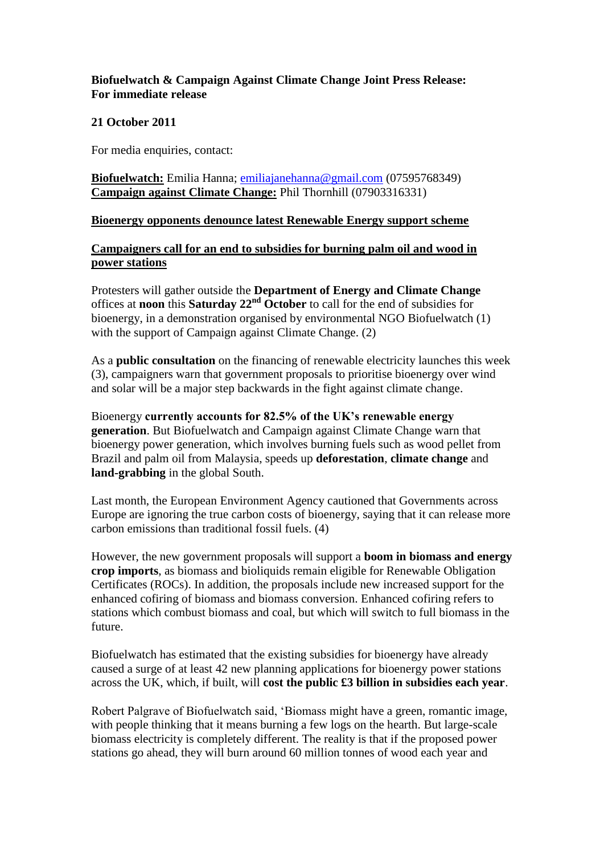# **Biofuelwatch & Campaign Against Climate Change Joint Press Release: For immediate release**

### **21 October 2011**

For media enquiries, contact:

**Biofuelwatch:** Emilia Hanna; [emiliajanehanna@gmail.com](mailto:emiliajanehanna@gmail.com) (07595768349) **Campaign against Climate Change:** Phil Thornhill (07903316331)

#### **Bioenergy opponents denounce latest Renewable Energy support scheme**

# **Campaigners call for an end to subsidies for burning palm oil and wood in power stations**

Protesters will gather outside the **Department of Energy and Climate Change** offices at **noon** this **Saturday 22nd October** to call for the end of subsidies for bioenergy, in a demonstration organised by environmental NGO Biofuelwatch (1) with the support of Campaign against Climate Change. (2)

As a **public consultation** on the financing of renewable electricity launches this week (3), campaigners warn that government proposals to prioritise bioenergy over wind and solar will be a major step backwards in the fight against climate change.

Bioenergy **currently accounts for 82.5% of the UK's renewable energy generation**. But Biofuelwatch and Campaign against Climate Change warn that bioenergy power generation, which involves burning fuels such as wood pellet from Brazil and palm oil from Malaysia, speeds up **deforestation**, **climate change** and **land-grabbing** in the global South.

Last month, the European Environment Agency cautioned that Governments across Europe are ignoring the true carbon costs of bioenergy, saying that it can release more carbon emissions than traditional fossil fuels. (4)

However, the new government proposals will support a **boom in biomass and energy crop imports**, as biomass and bioliquids remain eligible for Renewable Obligation Certificates (ROCs). In addition, the proposals include new increased support for the enhanced cofiring of biomass and biomass conversion. Enhanced cofiring refers to stations which combust biomass and coal, but which will switch to full biomass in the future.

Biofuelwatch has estimated that the existing subsidies for bioenergy have already caused a surge of at least 42 new planning applications for bioenergy power stations across the UK, which, if built, will **cost the public £3 billion in subsidies each year**.

Robert Palgrave of Biofuelwatch said, 'Biomass might have a green, romantic image, with people thinking that it means burning a few logs on the hearth. But large-scale biomass electricity is completely different. The reality is that if the proposed power stations go ahead, they will burn around 60 million tonnes of wood each year and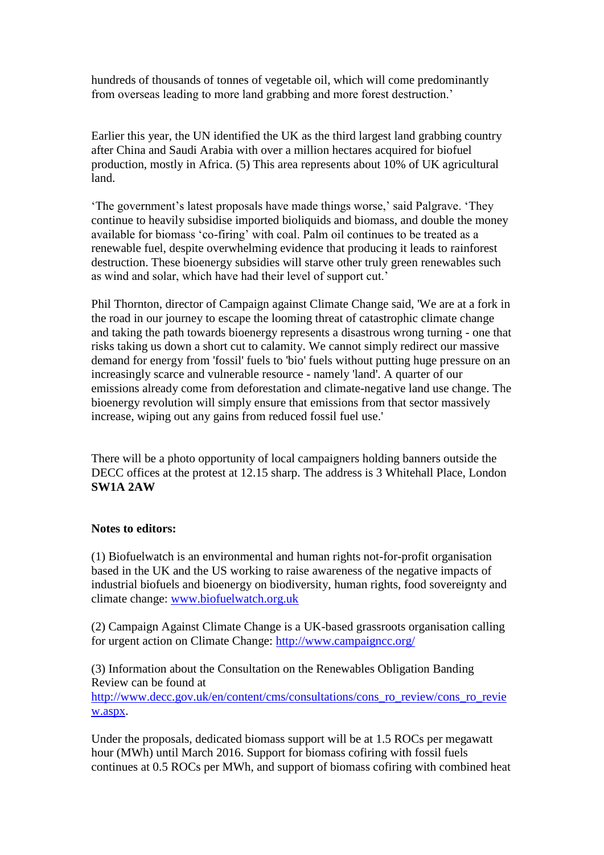hundreds of thousands of tonnes of vegetable oil, which will come predominantly from overseas leading to more land grabbing and more forest destruction.'

Earlier this year, the UN identified the UK as the third largest land grabbing country after China and Saudi Arabia with over a million hectares acquired for biofuel production, mostly in Africa. (5) This area represents about 10% of UK agricultural land.

'The government's latest proposals have made things worse,' said Palgrave. 'They continue to heavily subsidise imported bioliquids and biomass, and double the money available for biomass 'co-firing' with coal. Palm oil continues to be treated as a renewable fuel, despite overwhelming evidence that producing it leads to rainforest destruction. These bioenergy subsidies will starve other truly green renewables such as wind and solar, which have had their level of support cut.'

Phil Thornton, director of Campaign against Climate Change said, 'We are at a fork in the road in our journey to escape the looming threat of catastrophic climate change and taking the path towards bioenergy represents a disastrous wrong turning - one that risks taking us down a short cut to calamity. We cannot simply redirect our massive demand for energy from 'fossil' fuels to 'bio' fuels without putting huge pressure on an increasingly scarce and vulnerable resource - namely 'land'. A quarter of our emissions already come from deforestation and climate-negative land use change. The bioenergy revolution will simply ensure that emissions from that sector massively increase, wiping out any gains from reduced fossil fuel use.'

There will be a photo opportunity of local campaigners holding banners outside the DECC offices at the protest at 12.15 sharp. The address is 3 Whitehall Place, London **SW1A 2AW**

#### **Notes to editors:**

(1) Biofuelwatch is an environmental and human rights not-for-profit organisation based in the UK and the US working to raise awareness of the negative impacts of industrial biofuels and bioenergy on biodiversity, human rights, food sovereignty and climate change: [www.biofuelwatch.org.uk](http://www.biofuelwatch.org.uk/)

(2) Campaign Against Climate Change is a UK-based grassroots organisation calling for urgent action on Climate Change:<http://www.campaigncc.org/>

(3) Information about the Consultation on the Renewables Obligation Banding Review can be found at [http://www.decc.gov.uk/en/content/cms/consultations/cons\\_ro\\_review/cons\\_ro\\_revie](http://www.decc.gov.uk/en/content/cms/consultations/cons_ro_review/cons_ro_review.aspx) [w.aspx.](http://www.decc.gov.uk/en/content/cms/consultations/cons_ro_review/cons_ro_review.aspx)

Under the proposals, dedicated biomass support will be at 1.5 ROCs per megawatt hour (MWh) until March 2016. Support for biomass cofiring with fossil fuels continues at 0.5 ROCs per MWh, and support of biomass cofiring with combined heat